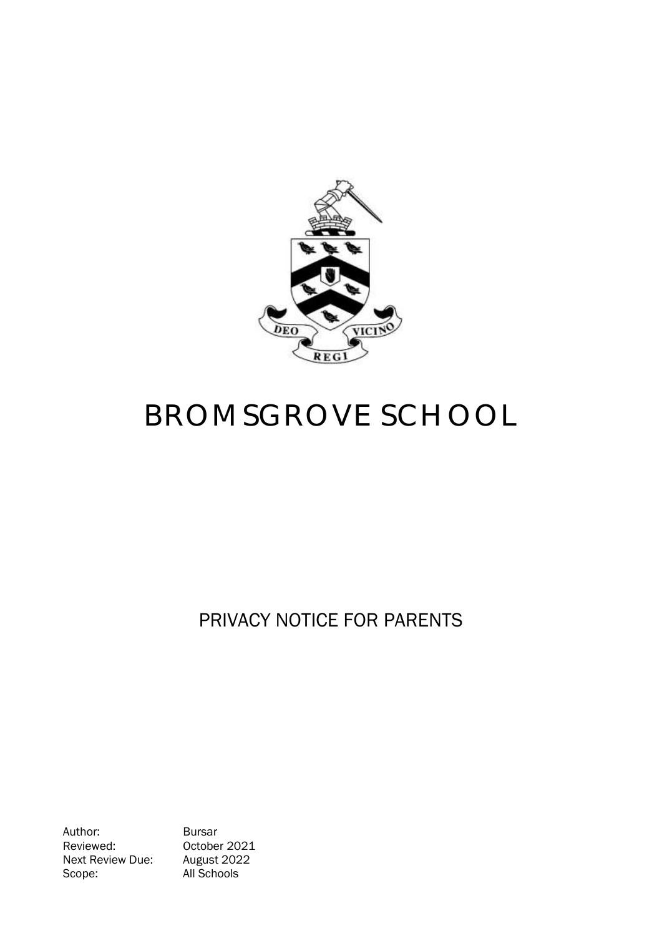

# BROMSGROVE SCHOOL

# PRIVACY NOTICE FOR PARENTS

Author: Bursar Reviewed: 0ctober 2021<br>Next Review Due: August 2022 Next Review Due: Scope: All Schools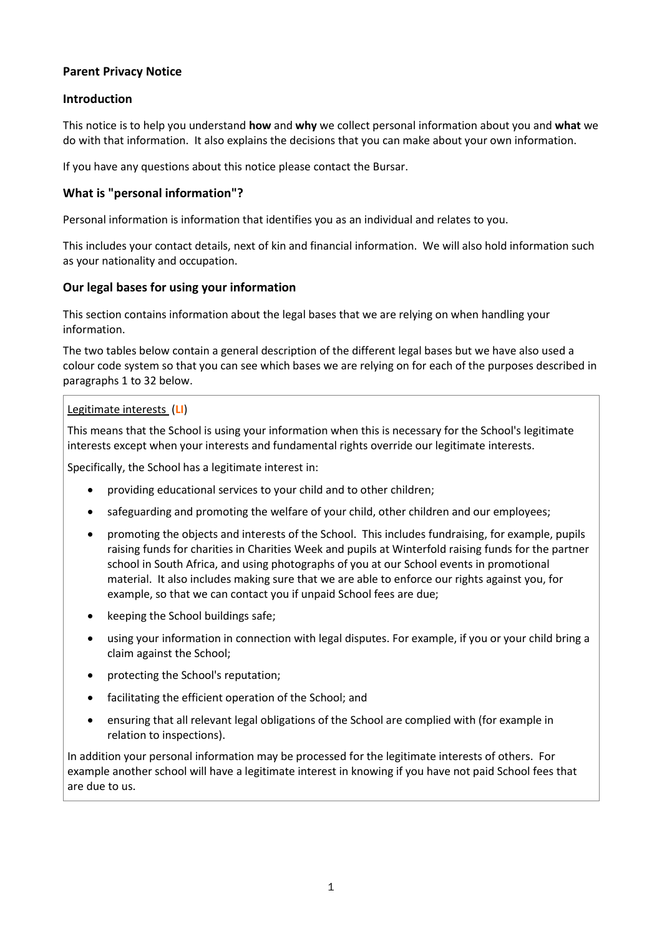# **Parent Privacy Notice**

#### **Introduction**

This notice is to help you understand **how** and **why** we collect personal information about you and **what** we do with that information. It also explains the decisions that you can make about your own information.

If you have any questions about this notice please contact the Bursar.

### **What is "personal information"?**

Personal information is information that identifies you as an individual and relates to you.

This includes your contact details, next of kin and financial information. We will also hold information such as your nationality and occupation.

#### **Our legal bases for using your information**

This section contains information about the legal bases that we are relying on when handling your information.

The two tables below contain a general description of the different legal bases but we have also used a colour code system so that you can see which bases we are relying on for each of the purposes described in paragraphs 1 t[o 32](#page-6-0) below.

#### Legitimate interests (**LI**)

This means that the School is using your information when this is necessary for the School's legitimate interests except when your interests and fundamental rights override our legitimate interests.

Specifically, the School has a legitimate interest in:

- providing educational services to your child and to other children;
- safeguarding and promoting the welfare of your child, other children and our employees;
- promoting the objects and interests of the School. This includes fundraising, for example, pupils raising funds for charities in Charities Week and pupils at Winterfold raising funds for the partner school in South Africa, and using photographs of you at our School events in promotional material. It also includes making sure that we are able to enforce our rights against you, for example, so that we can contact you if unpaid School fees are due;
- keeping the School buildings safe;
- using your information in connection with legal disputes. For example, if you or your child bring a claim against the School;
- protecting the School's reputation;
- facilitating the efficient operation of the School; and
- ensuring that all relevant legal obligations of the School are complied with (for example in relation to inspections).

In addition your personal information may be processed for the legitimate interests of others. For example another school will have a legitimate interest in knowing if you have not paid School fees that are due to us.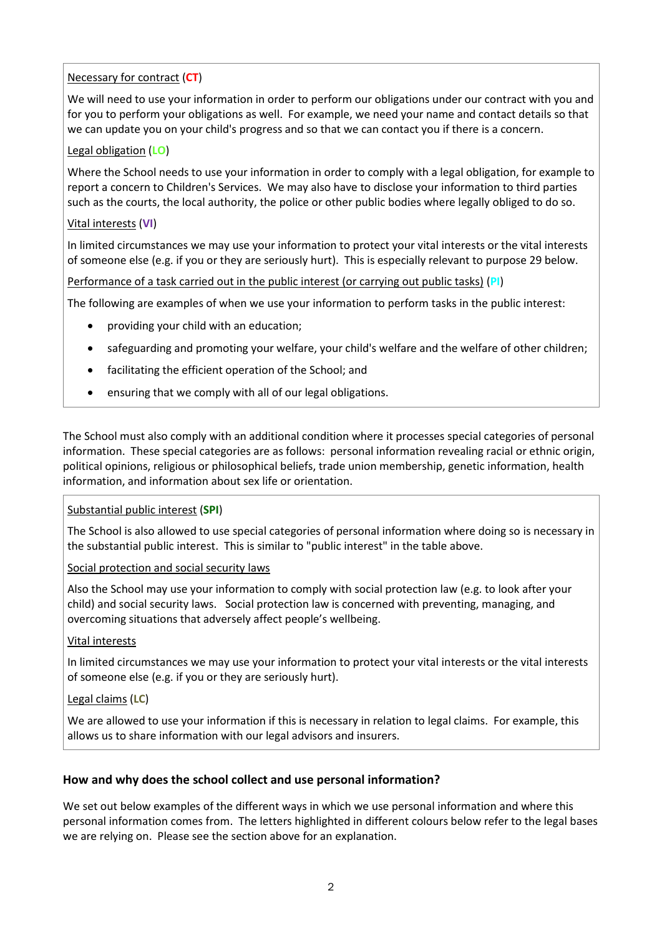# Necessary for contract (**CT**)

We will need to use your information in order to perform our obligations under our contract with you and for you to perform your obligations as well. For example, we need your name and contact details so that we can update you on your child's progress and so that we can contact you if there is a concern.

# Legal obligation (**LO**)

Where the School needs to use your information in order to comply with a legal obligation, for example to report a concern to Children's Services. We may also have to disclose your information to third parties such as the courts, the local authority, the police or other public bodies where legally obliged to do so.

#### Vital interests (**VI**)

In limited circumstances we may use your information to protect your vital interests or the vital interests of someone else (e.g. if you or they are seriously hurt). This is especially relevant to purpose 29 below.

Performance of a task carried out in the public interest (or carrying out public tasks) (**PI**)

The following are examples of when we use your information to perform tasks in the public interest:

- providing your child with an education;
- safeguarding and promoting your welfare, your child's welfare and the welfare of other children;
- facilitating the efficient operation of the School; and
- ensuring that we comply with all of our legal obligations.

The School must also comply with an additional condition where it processes special categories of personal information. These special categories are as follows: personal information revealing racial or ethnic origin, political opinions, religious or philosophical beliefs, trade union membership, genetic information, health information, and information about sex life or orientation.

#### Substantial public interest (**SPI**)

The School is also allowed to use special categories of personal information where doing so is necessary in the substantial public interest. This is similar to "public interest" in the table above.

Social protection and social security laws

Also the School may use your information to comply with social protection law (e.g. to look after your child) and social security laws. Social protection law is concerned with preventing, managing, and overcoming situations that adversely affect people's wellbeing.

#### Vital interests

In limited circumstances we may use your information to protect your vital interests or the vital interests of someone else (e.g. if you or they are seriously hurt).

#### Legal claims (**LC**)

We are allowed to use your information if this is necessary in relation to legal claims. For example, this allows us to share information with our legal advisors and insurers.

#### **How and why does the school collect and use personal information?**

We set out below examples of the different ways in which we use personal information and where this personal information comes from. The letters highlighted in different colours below refer to the legal bases we are relying on. Please see the section above for an explanation.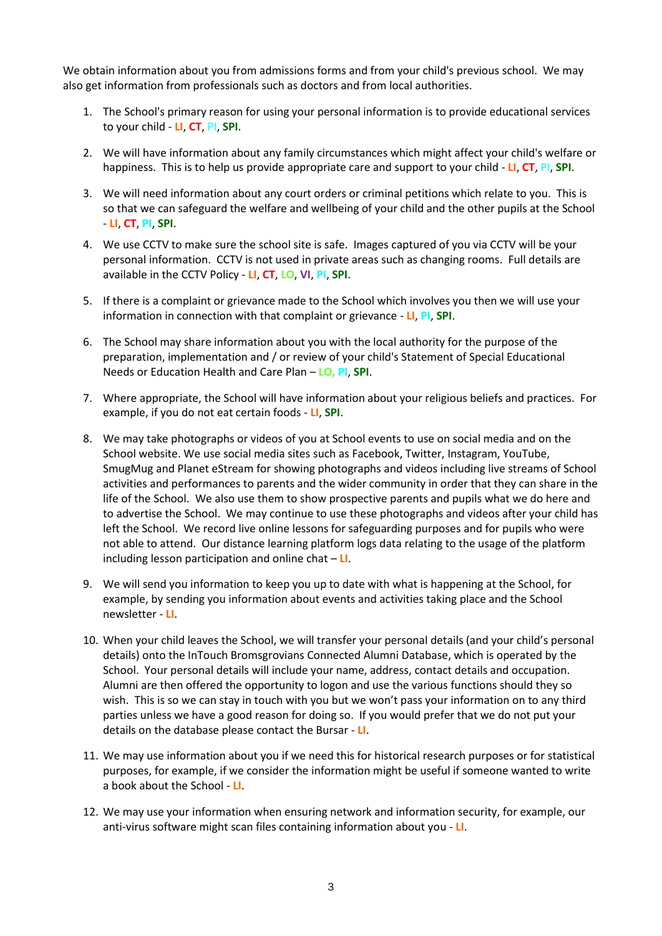We obtain information about you from admissions forms and from your child's previous school. We may also get information from professionals such as doctors and from local authorities.

- 1. The School's primary reason for using your personal information is to provide educational services to your child - **LI**, **CT**, PI, **SPI**.
- 2. We will have information about any family circumstances which might affect your child's welfare or happiness. This is to help us provide appropriate care and support to your child - **LI**, **CT**, PI, **SPI**.
- 3. We will need information about any court orders or criminal petitions which relate to you. This is so that we can safeguard the welfare and wellbeing of your child and the other pupils at the School - **LI**, **CT**, **PI**, **SPI**.
- 4. We use CCTV to make sure the school site is safe. Images captured of you via CCTV will be your personal information. CCTV is not used in private areas such as changing rooms. Full details are available in the CCTV Policy - **LI**, **CT**, **LO**, **VI**, **PI**, **SPI**.
- 5. If there is a complaint or grievance made to the School which involves you then we will use your information in connection with that complaint or grievance - **LI**, **PI**, **SPI**.
- 6. The School may share information about you with the local authority for the purpose of the preparation, implementation and / or review of your child's Statement of Special Educational Needs or Education Health and Care Plan – **LO, PI**, **SPI**.
- 7. Where appropriate, the School will have information about your religious beliefs and practices. For example, if you do not eat certain foods - **LI**, **SPI**.
- 8. We may take photographs or videos of you at School events to use on social media and on the School website. We use social media sites such as Facebook, Twitter, Instagram, YouTube, SmugMug and Planet eStream for showing photographs and videos including live streams of School activities and performances to parents and the wider community in order that they can share in the life of the School. We also use them to show prospective parents and pupils what we do here and to advertise the School. We may continue to use these photographs and videos after your child has left the School. We record live online lessons for safeguarding purposes and for pupils who were not able to attend. Our distance learning platform logs data relating to the usage of the platform including lesson participation and online chat – **LI**.
- 9. We will send you information to keep you up to date with what is happening at the School, for example, by sending you information about events and activities taking place and the School newsletter - **LI**.
- 10. When your child leaves the School, we will transfer your personal details (and your child's personal details) onto the InTouch Bromsgrovians Connected Alumni Database, which is operated by the School. Your personal details will include your name, address, contact details and occupation. Alumni are then offered the opportunity to logon and use the various functions should they so wish. This is so we can stay in touch with you but we won't pass your information on to any third parties unless we have a good reason for doing so. If you would prefer that we do not put your details on the database please contact the Bursar - **LI**.
- 11. We may use information about you if we need this for historical research purposes or for statistical purposes, for example, if we consider the information might be useful if someone wanted to write a book about the School - **LI**.
- 12. We may use your information when ensuring network and information security, for example, our anti-virus software might scan files containing information about you - **LI**.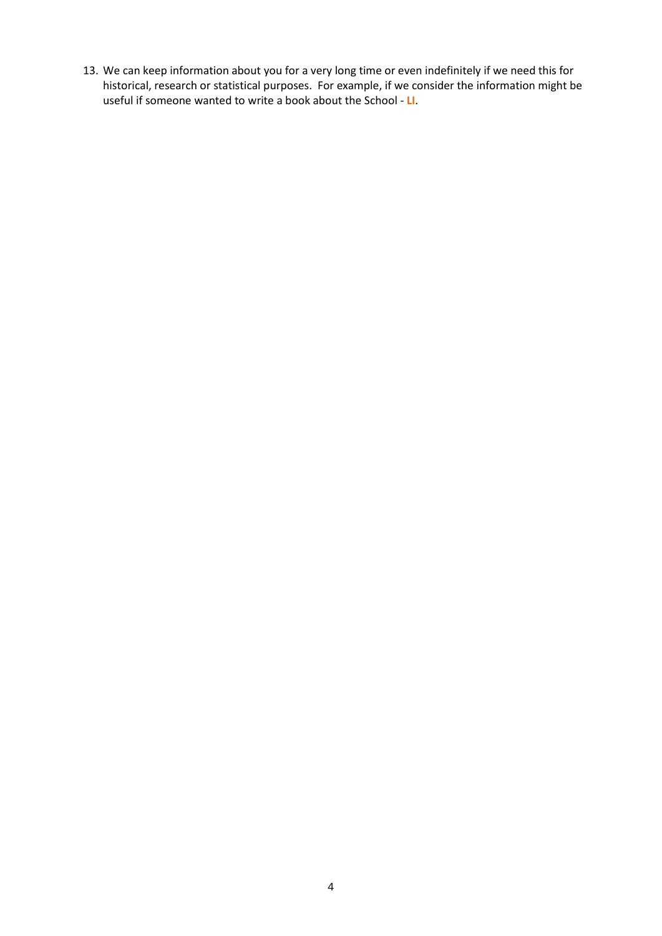13. We can keep information about you for a very long time or even indefinitely if we need this for historical, research or statistical purposes. For example, if we consider the information might be useful if someone wanted to write a book about the School - **LI**.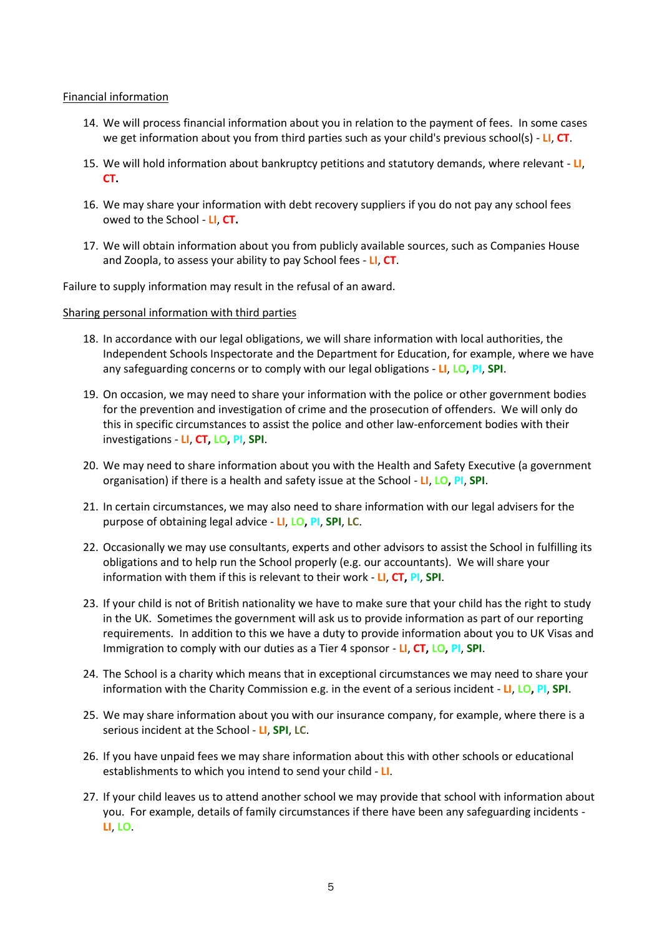#### Financial information

- 14. We will process financial information about you in relation to the payment of fees. In some cases we get information about you from third parties such as your child's previous school(s) - **LI**, **CT**.
- 15. We will hold information about bankruptcy petitions and statutory demands, where relevant **LI**, **CT.**
- 16. We may share your information with debt recovery suppliers if you do not pay any school fees owed to the School - **LI**, **CT.**
- 17. We will obtain information about you from publicly available sources, such as Companies House and Zoopla, to assess your ability to pay School fees - **LI**, **CT**.

Failure to supply information may result in the refusal of an award.

#### Sharing personal information with third parties

- 18. In accordance with our legal obligations, we will share information with local authorities, the Independent Schools Inspectorate and the Department for Education, for example, where we have any safeguarding concerns or to comply with our legal obligations - **LI**, **LO, PI**, **SPI**.
- 19. On occasion, we may need to share your information with the police or other government bodies for the prevention and investigation of crime and the prosecution of offenders. We will only do this in specific circumstances to assist the police and other law-enforcement bodies with their investigations - **LI**, **CT, LO, PI**, **SPI**.
- 20. We may need to share information about you with the Health and Safety Executive (a government organisation) if there is a health and safety issue at the School - **LI**, **LO, PI**, **SPI**.
- 21. In certain circumstances, we may also need to share information with our legal advisers for the purpose of obtaining legal advice - **LI**, **LO, PI**, **SPI**, **LC**.
- 22. Occasionally we may use consultants, experts and other advisors to assist the School in fulfilling its obligations and to help run the School properly (e.g. our accountants). We will share your information with them if this is relevant to their work - **LI**, **CT, PI**, **SPI**.
- 23. If your child is not of British nationality we have to make sure that your child has the right to study in the UK. Sometimes the government will ask us to provide information as part of our reporting requirements. In addition to this we have a duty to provide information about you to UK Visas and Immigration to comply with our duties as a Tier 4 sponsor - **LI**, **CT, LO, PI**, **SPI**.
- 24. The School is a charity which means that in exceptional circumstances we may need to share your information with the Charity Commission e.g. in the event of a serious incident - **LI**, **LO, PI**, **SPI**.
- 25. We may share information about you with our insurance company, for example, where there is a serious incident at the School - **LI**, **SPI**, **LC**.
- 26. If you have unpaid fees we may share information about this with other schools or educational establishments to which you intend to send your child - **LI**.
- 27. If your child leaves us to attend another school we may provide that school with information about you. For example, details of family circumstances if there have been any safeguarding incidents - **LI**, **LO**.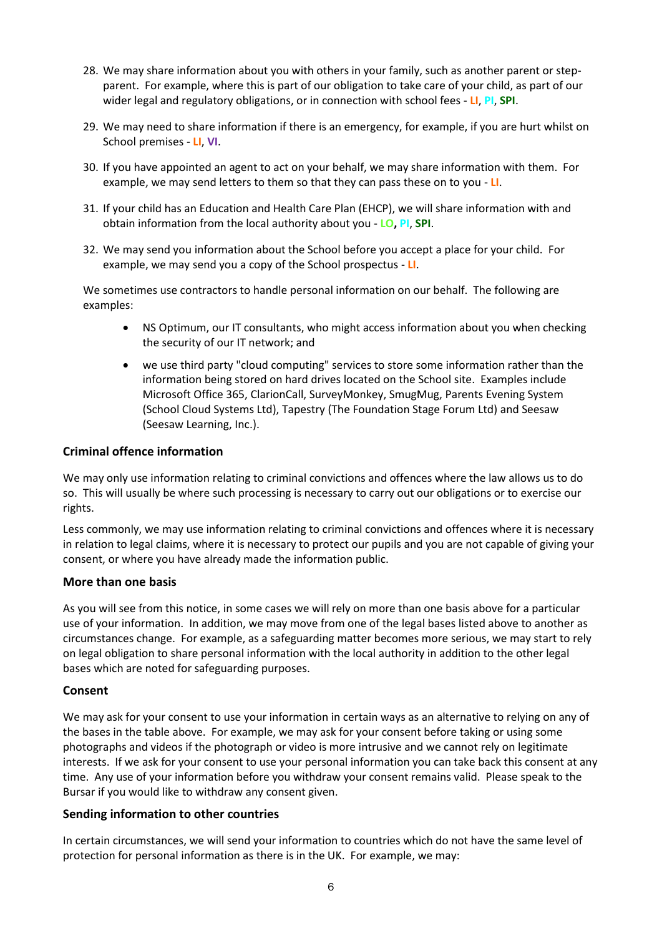- 28. We may share information about you with others in your family, such as another parent or stepparent. For example, where this is part of our obligation to take care of your child, as part of our wider legal and regulatory obligations, or in connection with school fees - **LI**, **PI**, **SPI**.
- 29. We may need to share information if there is an emergency, for example, if you are hurt whilst on School premises - **LI**, **VI**.
- 30. If you have appointed an agent to act on your behalf, we may share information with them. For example, we may send letters to them so that they can pass these on to you - **LI**.
- 31. If your child has an Education and Health Care Plan (EHCP), we will share information with and obtain information from the local authority about you - **LO, PI**, **SPI**.
- <span id="page-6-0"></span>32. We may send you information about the School before you accept a place for your child. For example, we may send you a copy of the School prospectus - **LI**.

We sometimes use contractors to handle personal information on our behalf. The following are examples:

- NS Optimum, our IT consultants, who might access information about you when checking the security of our IT network; and
- we use third party "cloud computing" services to store some information rather than the information being stored on hard drives located on the School site. Examples include Microsoft Office 365, ClarionCall, SurveyMonkey, SmugMug, Parents Evening System (School Cloud Systems Ltd), Tapestry (The Foundation Stage Forum Ltd) and Seesaw (Seesaw Learning, Inc.).

#### **Criminal offence information**

We may only use information relating to criminal convictions and offences where the law allows us to do so. This will usually be where such processing is necessary to carry out our obligations or to exercise our rights.

Less commonly, we may use information relating to criminal convictions and offences where it is necessary in relation to legal claims, where it is necessary to protect our pupils and you are not capable of giving your consent, or where you have already made the information public.

#### **More than one basis**

As you will see from this notice, in some cases we will rely on more than one basis above for a particular use of your information. In addition, we may move from one of the legal bases listed above to another as circumstances change. For example, as a safeguarding matter becomes more serious, we may start to rely on legal obligation to share personal information with the local authority in addition to the other legal bases which are noted for safeguarding purposes.

#### **Consent**

We may ask for your consent to use your information in certain ways as an alternative to relying on any of the bases in the table above. For example, we may ask for your consent before taking or using some photographs and videos if the photograph or video is more intrusive and we cannot rely on legitimate interests. If we ask for your consent to use your personal information you can take back this consent at any time. Any use of your information before you withdraw your consent remains valid. Please speak to the Bursar if you would like to withdraw any consent given.

#### **Sending information to other countries**

In certain circumstances, we will send your information to countries which do not have the same level of protection for personal information as there is in the UK. For example, we may: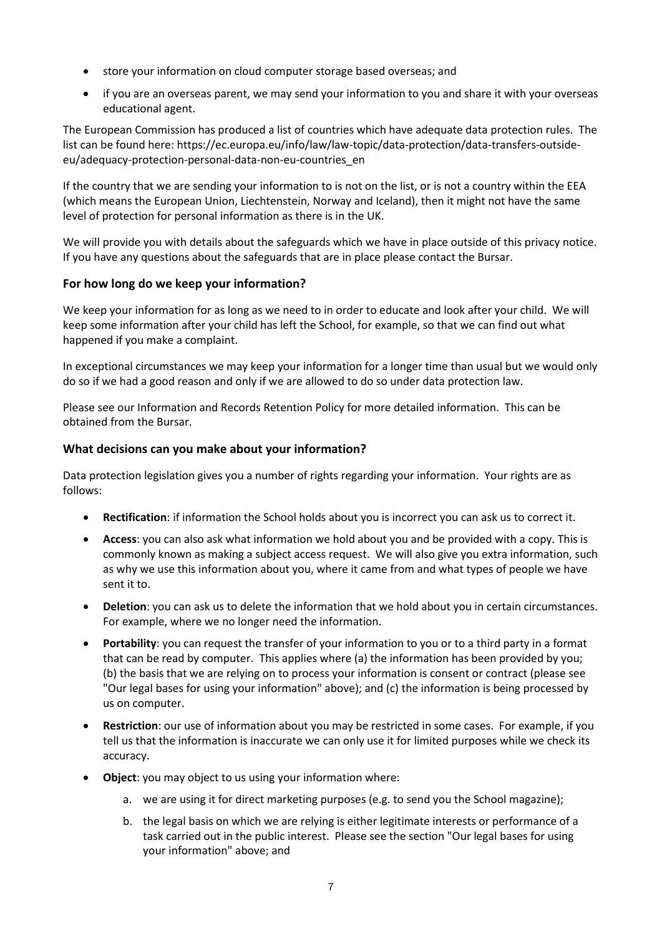- store your information on cloud computer storage based overseas; and
- if you are an overseas parent, we may send your information to you and share it with your overseas educational agent.

The European Commission has produced a list of countries which have adequate data protection rules. The list can be found here: https://ec.europa.eu/info/law/law-topic/data-protection/data-transfers-outsideeu/adequacy-protection-personal-data-non-eu-countries\_en

If the country that we are sending your information to is not on the list, or is not a country within the EEA (which means the European Union, Liechtenstein, Norway and Iceland), then it might not have the same level of protection for personal information as there is in the UK.

We will provide you with details about the safeguards which we have in place outside of this privacy notice. If you have any questions about the safeguards that are in place please contact the Bursar.

# **For how long do we keep your information?**

We keep your information for as long as we need to in order to educate and look after your child. We will keep some information after your child has left the School, for example, so that we can find out what happened if you make a complaint.

In exceptional circumstances we may keep your information for a longer time than usual but we would only do so if we had a good reason and only if we are allowed to do so under data protection law.

Please see our Information and Records Retention Policy for more detailed information. This can be obtained from the Bursar.

# **What decisions can you make about your information?**

Data protection legislation gives you a number of rights regarding your information. Your rights are as follows:

- **Rectification**: if information the School holds about you is incorrect you can ask us to correct it.
- **Access**: you can also ask what information we hold about you and be provided with a copy. This is commonly known as making a subject access request. We will also give you extra information, such as why we use this information about you, where it came from and what types of people we have sent it to.
- **Deletion**: you can ask us to delete the information that we hold about you in certain circumstances. For example, where we no longer need the information.
- **Portability**: you can request the transfer of your information to you or to a third party in a format that can be read by computer. This applies where (a) the information has been provided by you; (b) the basis that we are relying on to process your information is consent or contract (please see "Our legal bases for using your information" above); and (c) the information is being processed by us on computer.
- **Restriction**: our use of information about you may be restricted in some cases. For example, if you tell us that the information is inaccurate we can only use it for limited purposes while we check its accuracy.
- **Object**: you may object to us using your information where:
	- a. we are using it for direct marketing purposes (e.g. to send you the School magazine);
	- b. the legal basis on which we are relying is either legitimate interests or performance of a task carried out in the public interest. Please see the section "Our legal bases for using your information" above; and